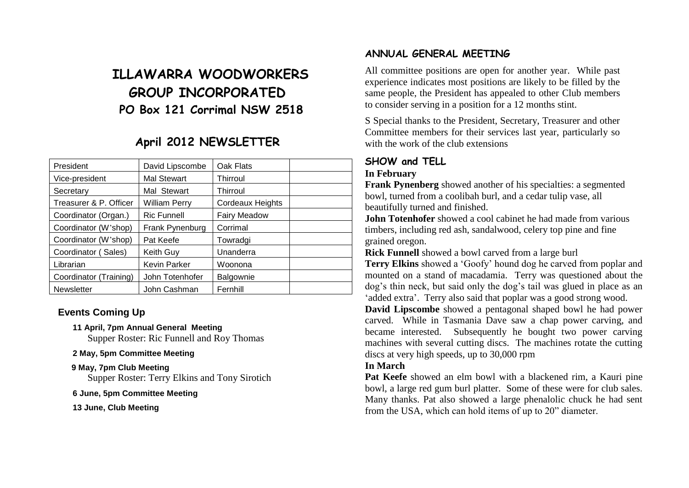# **ILLAWARRA WOODWORKERS GROUP INCORPORATED PO Box 121 Corrimal NSW 2518**

# **April 2012 NEWSLETTER**

| President              | David Lipscombe     | Oak Flats           |  |
|------------------------|---------------------|---------------------|--|
| Vice-president         | <b>Mal Stewart</b>  | Thirroul            |  |
| Secretary              | Mal Stewart         | Thirroul            |  |
| Treasurer & P. Officer | William Perry       | Cordeaux Heights    |  |
| Coordinator (Organ.)   | <b>Ric Funnell</b>  | <b>Fairy Meadow</b> |  |
| Coordinator (W'shop)   | Frank Pynenburg     | Corrimal            |  |
| Coordinator (W'shop)   | Pat Keefe           | Towradgi            |  |
| Coordinator (Sales)    | Keith Guy           | Unanderra           |  |
| Librarian              | <b>Kevin Parker</b> | Woonona             |  |
| Coordinator (Training) | John Totenhofer     | Balgownie           |  |
| <b>Newsletter</b>      | John Cashman        | Fernhill            |  |

# **Events Coming Up**

#### **11 April, 7pm Annual General Meeting**

Supper Roster: Ric Funnell and Roy Thomas

#### **2 May, 5pm Committee Meeting**

#### **9 May, 7pm Club Meeting**

Supper Roster: Terry Elkins and Tony Sirotich

#### **6 June, 5pm Committee Meeting**

**13 June, Club Meeting**

### **ANNUAL GENERAL MEETING**

All committee positions are open for another year. While past experience indicates most positions are likely to be filled by the same people, the President has appealed to other Club members to consider serving in a position for a 12 months stint.

S Special thanks to the President, Secretary, Treasurer and other Committee members for their services last year, particularly so with the work of the club extensions

# **SHOW and TELL**

### **In February**

**Frank Pynenberg** showed another of his specialties: a segmented bowl, turned from a coolibah burl, and a cedar tulip vase, all beautifully turned and finished.

**John Totenhofer** showed a cool cabinet he had made from various timbers, including red ash, sandalwood, celery top pine and fine grained oregon.

**Rick Funnell** showed a bowl carved from a large burl

**Terry Elkins** showed a 'Goofy' hound dog he carved from poplar and mounted on a stand of macadamia. Terry was questioned about the dog's thin neck, but said only the dog's tail was glued in place as an 'added extra'. Terry also said that poplar was a good strong wood.

**David Lipscombe** showed a pentagonal shaped bowl he had power carved. While in Tasmania Dave saw a chap power carving, and became interested. Subsequently he bought two power carving machines with several cutting discs. The machines rotate the cutting discs at very high speeds, up to 30,000 rpm

### **In March**

**Pat Keefe** showed an elm bowl with a blackened rim, a Kauri pine bowl, a large red gum burl platter. Some of these were for club sales. Many thanks. Pat also showed a large phenalolic chuck he had sent from the USA, which can hold items of up to 20" diameter.